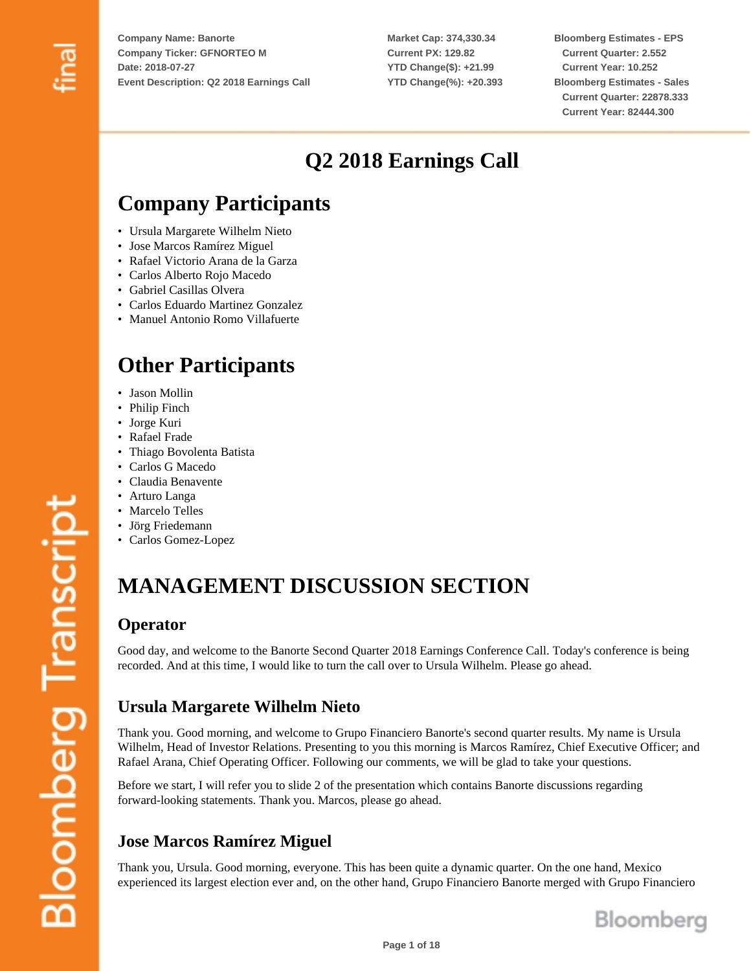**Market Cap: 374,330.34 Current PX: 129.82 YTD Change(\$): +21.99 YTD Change(%): +20.393** **Bloomberg Estimates - EPS Current Quarter: 2.552 Current Year: 10.252 Bloomberg Estimates - Sales Current Quarter: 22878.333 Current Year: 82444.300**

## **Q2 2018 Earnings Call**

## **Company Participants**

- Ursula Margarete Wilhelm Nieto
- Jose Marcos Ramírez Miguel
- Rafael Victorio Arana de la Garza
- Carlos Alberto Rojo Macedo
- Gabriel Casillas Olvera
- Carlos Eduardo Martinez Gonzalez
- Manuel Antonio Romo Villafuerte

## **Other Participants**

- Jason Mollin
- Philip Finch
- Jorge Kuri
- Rafael Frade
- Thiago Bovolenta Batista
- Carlos G Macedo
- Claudia Benavente
- Arturo Langa
- Marcelo Telles
- Jörg Friedemann
- Carlos Gomez-Lopez

## **MANAGEMENT DISCUSSION SECTION**

#### **Operator**

Good day, and welcome to the Banorte Second Quarter 2018 Earnings Conference Call. Today's conference is being recorded. And at this time, I would like to turn the call over to Ursula Wilhelm. Please go ahead.

## **Ursula Margarete Wilhelm Nieto**

Thank you. Good morning, and welcome to Grupo Financiero Banorte's second quarter results. My name is Ursula Wilhelm, Head of Investor Relations. Presenting to you this morning is Marcos Ramírez, Chief Executive Officer; and Rafael Arana, Chief Operating Officer. Following our comments, we will be glad to take your questions.

Before we start, I will refer you to slide 2 of the presentation which contains Banorte discussions regarding forward-looking statements. Thank you. Marcos, please go ahead.

## **Jose Marcos Ramírez Miguel**

Thank you, Ursula. Good morning, everyone. This has been quite a dynamic quarter. On the one hand, Mexico experienced its largest election ever and, on the other hand, Grupo Financiero Banorte merged with Grupo Financiero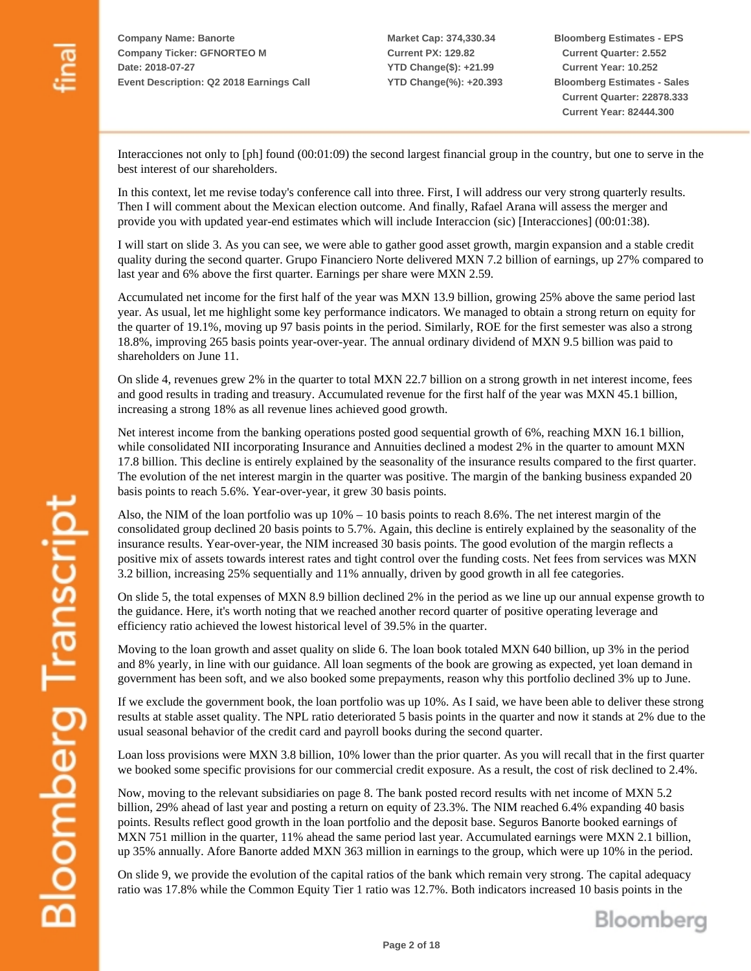**Market Cap: 374,330.34 Current PX: 129.82 YTD Change(\$): +21.99 YTD Change(%): +20.393**

**Bloomberg Estimates - EPS Current Quarter: 2.552 Current Year: 10.252 Bloomberg Estimates - Sales Current Quarter: 22878.333 Current Year: 82444.300**

Interacciones not only to [ph] found (00:01:09) the second largest financial group in the country, but one to serve in the best interest of our shareholders.

In this context, let me revise today's conference call into three. First, I will address our very strong quarterly results. Then I will comment about the Mexican election outcome. And finally, Rafael Arana will assess the merger and provide you with updated year-end estimates which will include Interaccion (sic) [Interacciones] (00:01:38).

I will start on slide 3. As you can see, we were able to gather good asset growth, margin expansion and a stable credit quality during the second quarter. Grupo Financiero Norte delivered MXN 7.2 billion of earnings, up 27% compared to last year and 6% above the first quarter. Earnings per share were MXN 2.59.

Accumulated net income for the first half of the year was MXN 13.9 billion, growing 25% above the same period last year. As usual, let me highlight some key performance indicators. We managed to obtain a strong return on equity for the quarter of 19.1%, moving up 97 basis points in the period. Similarly, ROE for the first semester was also a strong 18.8%, improving 265 basis points year-over-year. The annual ordinary dividend of MXN 9.5 billion was paid to shareholders on June 11.

On slide 4, revenues grew 2% in the quarter to total MXN 22.7 billion on a strong growth in net interest income, fees and good results in trading and treasury. Accumulated revenue for the first half of the year was MXN 45.1 billion, increasing a strong 18% as all revenue lines achieved good growth.

Net interest income from the banking operations posted good sequential growth of 6%, reaching MXN 16.1 billion, while consolidated NII incorporating Insurance and Annuities declined a modest 2% in the quarter to amount MXN 17.8 billion. This decline is entirely explained by the seasonality of the insurance results compared to the first quarter. The evolution of the net interest margin in the quarter was positive. The margin of the banking business expanded 20 basis points to reach 5.6%. Year-over-year, it grew 30 basis points.

Also, the NIM of the loan portfolio was up 10% – 10 basis points to reach 8.6%. The net interest margin of the consolidated group declined 20 basis points to 5.7%. Again, this decline is entirely explained by the seasonality of the insurance results. Year-over-year, the NIM increased 30 basis points. The good evolution of the margin reflects a positive mix of assets towards interest rates and tight control over the funding costs. Net fees from services was MXN 3.2 billion, increasing 25% sequentially and 11% annually, driven by good growth in all fee categories.

On slide 5, the total expenses of MXN 8.9 billion declined 2% in the period as we line up our annual expense growth to the guidance. Here, it's worth noting that we reached another record quarter of positive operating leverage and efficiency ratio achieved the lowest historical level of 39.5% in the quarter.

Moving to the loan growth and asset quality on slide 6. The loan book totaled MXN 640 billion, up 3% in the period and 8% yearly, in line with our guidance. All loan segments of the book are growing as expected, yet loan demand in government has been soft, and we also booked some prepayments, reason why this portfolio declined 3% up to June.

If we exclude the government book, the loan portfolio was up 10%. As I said, we have been able to deliver these strong results at stable asset quality. The NPL ratio deteriorated 5 basis points in the quarter and now it stands at 2% due to the usual seasonal behavior of the credit card and payroll books during the second quarter.

Loan loss provisions were MXN 3.8 billion, 10% lower than the prior quarter. As you will recall that in the first quarter we booked some specific provisions for our commercial credit exposure. As a result, the cost of risk declined to 2.4%.

Now, moving to the relevant subsidiaries on page 8. The bank posted record results with net income of MXN 5.2 billion, 29% ahead of last year and posting a return on equity of 23.3%. The NIM reached 6.4% expanding 40 basis points. Results reflect good growth in the loan portfolio and the deposit base. Seguros Banorte booked earnings of MXN 751 million in the quarter, 11% ahead the same period last year. Accumulated earnings were MXN 2.1 billion, up 35% annually. Afore Banorte added MXN 363 million in earnings to the group, which were up 10% in the period.

On slide 9, we provide the evolution of the capital ratios of the bank which remain very strong. The capital adequacy ratio was 17.8% while the Common Equity Tier 1 ratio was 12.7%. Both indicators increased 10 basis points in the

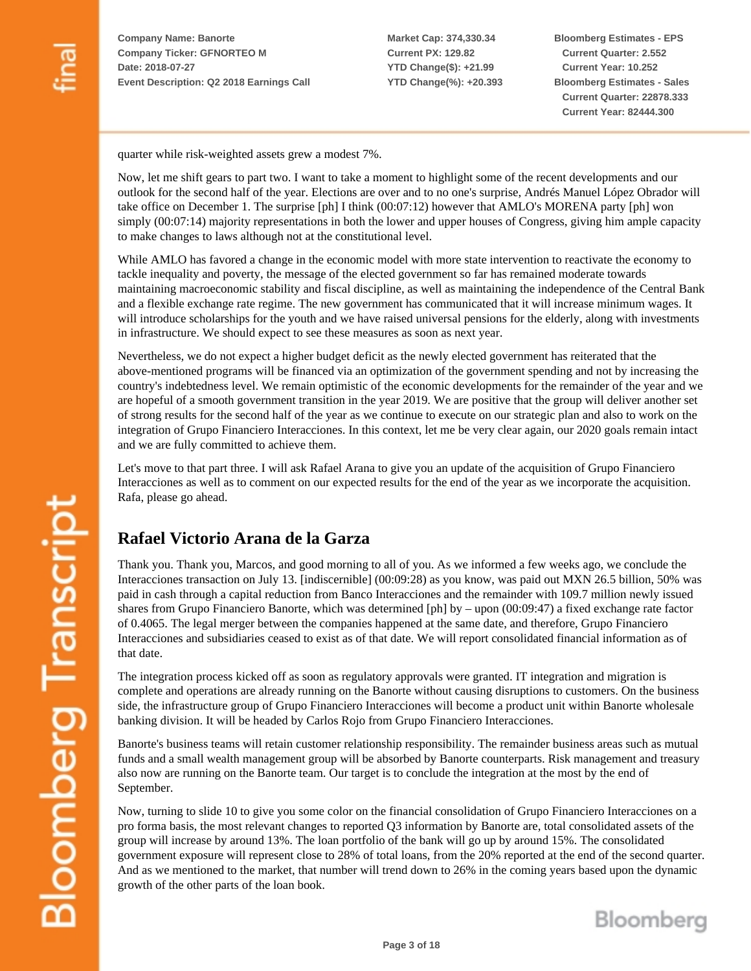**Market Cap: 374,330.34 Current PX: 129.82 YTD Change(\$): +21.99 YTD Change(%): +20.393** **Bloomberg Estimates - EPS Current Quarter: 2.552 Current Year: 10.252 Bloomberg Estimates - Sales Current Quarter: 22878.333 Current Year: 82444.300**

quarter while risk-weighted assets grew a modest 7%.

Now, let me shift gears to part two. I want to take a moment to highlight some of the recent developments and our outlook for the second half of the year. Elections are over and to no one's surprise, Andrés Manuel López Obrador will take office on December 1. The surprise [ph] I think (00:07:12) however that AMLO's MORENA party [ph] won simply  $(00:07:14)$  majority representations in both the lower and upper houses of Congress, giving him ample capacity to make changes to laws although not at the constitutional level.

While AMLO has favored a change in the economic model with more state intervention to reactivate the economy to tackle inequality and poverty, the message of the elected government so far has remained moderate towards maintaining macroeconomic stability and fiscal discipline, as well as maintaining the independence of the Central Bank and a flexible exchange rate regime. The new government has communicated that it will increase minimum wages. It will introduce scholarships for the youth and we have raised universal pensions for the elderly, along with investments in infrastructure. We should expect to see these measures as soon as next year.

Nevertheless, we do not expect a higher budget deficit as the newly elected government has reiterated that the above-mentioned programs will be financed via an optimization of the government spending and not by increasing the country's indebtedness level. We remain optimistic of the economic developments for the remainder of the year and we are hopeful of a smooth government transition in the year 2019. We are positive that the group will deliver another set of strong results for the second half of the year as we continue to execute on our strategic plan and also to work on the integration of Grupo Financiero Interacciones. In this context, let me be very clear again, our 2020 goals remain intact and we are fully committed to achieve them.

Let's move to that part three. I will ask Rafael Arana to give you an update of the acquisition of Grupo Financiero Interacciones as well as to comment on our expected results for the end of the year as we incorporate the acquisition. Rafa, please go ahead.

## **Rafael Victorio Arana de la Garza**

Thank you. Thank you, Marcos, and good morning to all of you. As we informed a few weeks ago, we conclude the Interacciones transaction on July 13. [indiscernible] (00:09:28) as you know, was paid out MXN 26.5 billion, 50% was paid in cash through a capital reduction from Banco Interacciones and the remainder with 109.7 million newly issued shares from Grupo Financiero Banorte, which was determined [ph] by – upon (00:09:47) a fixed exchange rate factor of 0.4065. The legal merger between the companies happened at the same date, and therefore, Grupo Financiero Interacciones and subsidiaries ceased to exist as of that date. We will report consolidated financial information as of that date.

The integration process kicked off as soon as regulatory approvals were granted. IT integration and migration is complete and operations are already running on the Banorte without causing disruptions to customers. On the business side, the infrastructure group of Grupo Financiero Interacciones will become a product unit within Banorte wholesale banking division. It will be headed by Carlos Rojo from Grupo Financiero Interacciones.

Banorte's business teams will retain customer relationship responsibility. The remainder business areas such as mutual funds and a small wealth management group will be absorbed by Banorte counterparts. Risk management and treasury also now are running on the Banorte team. Our target is to conclude the integration at the most by the end of September.

Now, turning to slide 10 to give you some color on the financial consolidation of Grupo Financiero Interacciones on a pro forma basis, the most relevant changes to reported Q3 information by Banorte are, total consolidated assets of the group will increase by around 13%. The loan portfolio of the bank will go up by around 15%. The consolidated government exposure will represent close to 28% of total loans, from the 20% reported at the end of the second quarter. And as we mentioned to the market, that number will trend down to 26% in the coming years based upon the dynamic growth of the other parts of the loan book.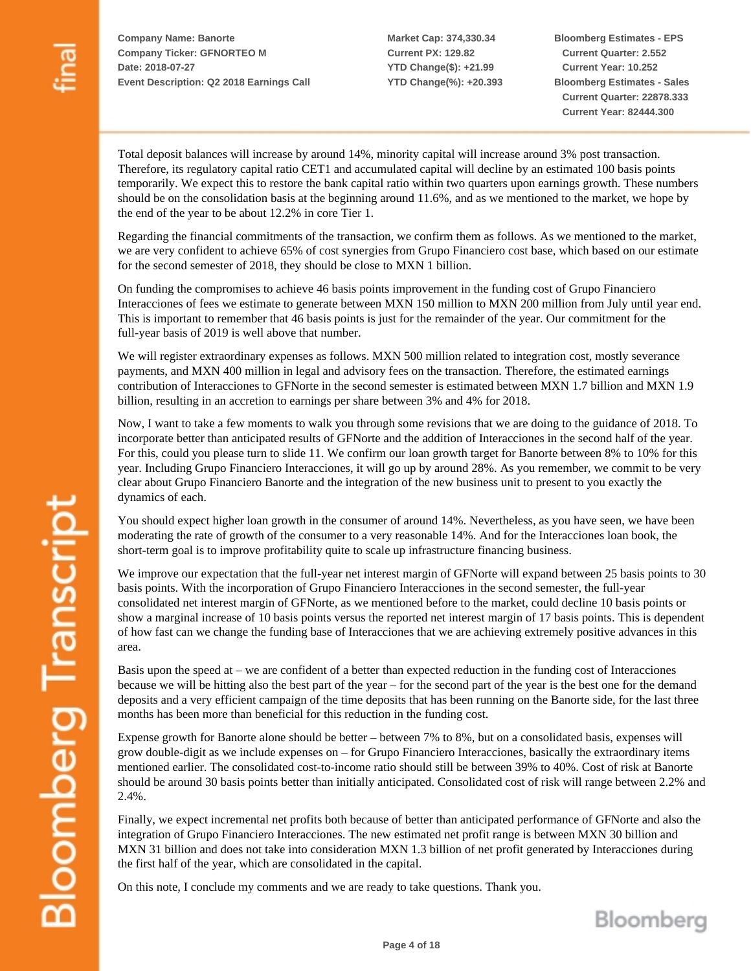**Market Cap: 374,330.34 Current PX: 129.82 YTD Change(\$): +21.99 YTD Change(%): +20.393** **Bloomberg Estimates - EPS Current Quarter: 2.552 Current Year: 10.252 Bloomberg Estimates - Sales Current Quarter: 22878.333 Current Year: 82444.300**

Total deposit balances will increase by around 14%, minority capital will increase around 3% post transaction. Therefore, its regulatory capital ratio CET1 and accumulated capital will decline by an estimated 100 basis points temporarily. We expect this to restore the bank capital ratio within two quarters upon earnings growth. These numbers should be on the consolidation basis at the beginning around 11.6%, and as we mentioned to the market, we hope by the end of the year to be about 12.2% in core Tier 1.

Regarding the financial commitments of the transaction, we confirm them as follows. As we mentioned to the market, we are very confident to achieve 65% of cost synergies from Grupo Financiero cost base, which based on our estimate for the second semester of 2018, they should be close to MXN 1 billion.

On funding the compromises to achieve 46 basis points improvement in the funding cost of Grupo Financiero Interacciones of fees we estimate to generate between MXN 150 million to MXN 200 million from July until year end. This is important to remember that 46 basis points is just for the remainder of the year. Our commitment for the full-year basis of 2019 is well above that number.

We will register extraordinary expenses as follows. MXN 500 million related to integration cost, mostly severance payments, and MXN 400 million in legal and advisory fees on the transaction. Therefore, the estimated earnings contribution of Interacciones to GFNorte in the second semester is estimated between MXN 1.7 billion and MXN 1.9 billion, resulting in an accretion to earnings per share between 3% and 4% for 2018.

Now, I want to take a few moments to walk you through some revisions that we are doing to the guidance of 2018. To incorporate better than anticipated results of GFNorte and the addition of Interacciones in the second half of the year. For this, could you please turn to slide 11. We confirm our loan growth target for Banorte between 8% to 10% for this year. Including Grupo Financiero Interacciones, it will go up by around 28%. As you remember, we commit to be very clear about Grupo Financiero Banorte and the integration of the new business unit to present to you exactly the dynamics of each.

You should expect higher loan growth in the consumer of around 14%. Nevertheless, as you have seen, we have been moderating the rate of growth of the consumer to a very reasonable 14%. And for the Interacciones loan book, the short-term goal is to improve profitability quite to scale up infrastructure financing business.

We improve our expectation that the full-year net interest margin of GFNorte will expand between 25 basis points to 30 basis points. With the incorporation of Grupo Financiero Interacciones in the second semester, the full-year consolidated net interest margin of GFNorte, as we mentioned before to the market, could decline 10 basis points or show a marginal increase of 10 basis points versus the reported net interest margin of 17 basis points. This is dependent of how fast can we change the funding base of Interacciones that we are achieving extremely positive advances in this area.

Basis upon the speed at – we are confident of a better than expected reduction in the funding cost of Interacciones because we will be hitting also the best part of the year – for the second part of the year is the best one for the demand deposits and a very efficient campaign of the time deposits that has been running on the Banorte side, for the last three months has been more than beneficial for this reduction in the funding cost.

Expense growth for Banorte alone should be better – between 7% to 8%, but on a consolidated basis, expenses will grow double-digit as we include expenses on – for Grupo Financiero Interacciones, basically the extraordinary items mentioned earlier. The consolidated cost-to-income ratio should still be between 39% to 40%. Cost of risk at Banorte should be around 30 basis points better than initially anticipated. Consolidated cost of risk will range between 2.2% and 2.4%.

Finally, we expect incremental net profits both because of better than anticipated performance of GFNorte and also the integration of Grupo Financiero Interacciones. The new estimated net profit range is between MXN 30 billion and MXN 31 billion and does not take into consideration MXN 1.3 billion of net profit generated by Interacciones during the first half of the year, which are consolidated in the capital.

On this note, I conclude my comments and we are ready to take questions. Thank you.

Bloomberg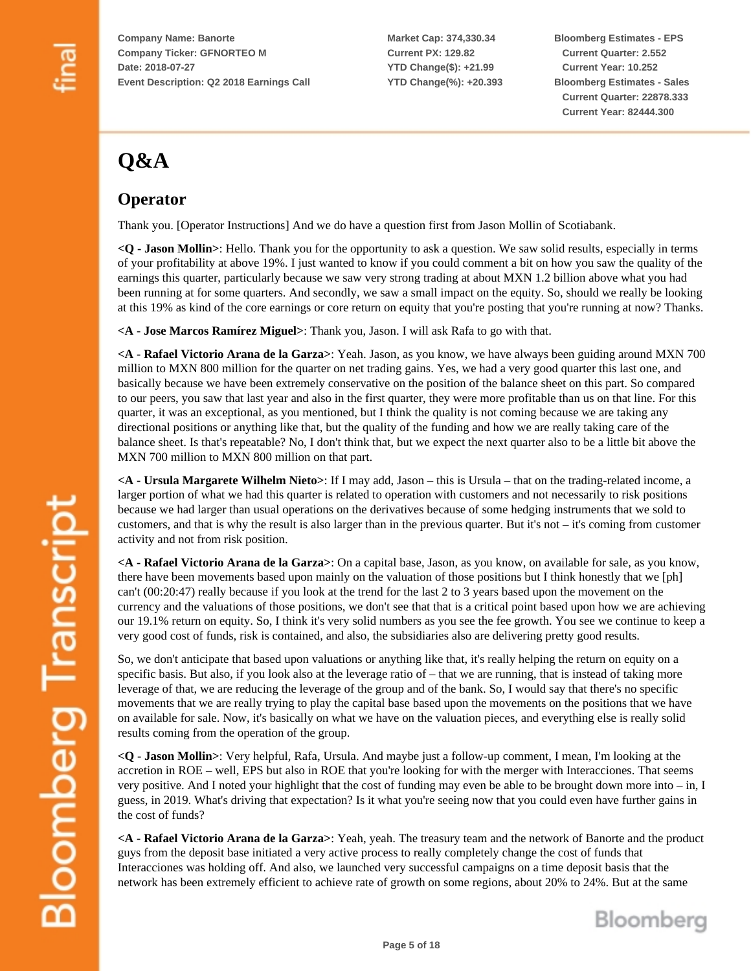**Market Cap: 374,330.34 Current PX: 129.82 YTD Change(\$): +21.99 YTD Change(%): +20.393** **Bloomberg Estimates - EPS Current Quarter: 2.552 Current Year: 10.252 Bloomberg Estimates - Sales Current Quarter: 22878.333 Current Year: 82444.300**

# **Q&A**

## **Operator**

Thank you. [Operator Instructions] And we do have a question first from Jason Mollin of Scotiabank.

**<Q - Jason Mollin>**: Hello. Thank you for the opportunity to ask a question. We saw solid results, especially in terms of your profitability at above 19%. I just wanted to know if you could comment a bit on how you saw the quality of the earnings this quarter, particularly because we saw very strong trading at about MXN 1.2 billion above what you had been running at for some quarters. And secondly, we saw a small impact on the equity. So, should we really be looking at this 19% as kind of the core earnings or core return on equity that you're posting that you're running at now? Thanks.

**<A - Jose Marcos Ramírez Miguel>**: Thank you, Jason. I will ask Rafa to go with that.

**<A - Rafael Victorio Arana de la Garza>**: Yeah. Jason, as you know, we have always been guiding around MXN 700 million to MXN 800 million for the quarter on net trading gains. Yes, we had a very good quarter this last one, and basically because we have been extremely conservative on the position of the balance sheet on this part. So compared to our peers, you saw that last year and also in the first quarter, they were more profitable than us on that line. For this quarter, it was an exceptional, as you mentioned, but I think the quality is not coming because we are taking any directional positions or anything like that, but the quality of the funding and how we are really taking care of the balance sheet. Is that's repeatable? No, I don't think that, but we expect the next quarter also to be a little bit above the MXN 700 million to MXN 800 million on that part.

**<A - Ursula Margarete Wilhelm Nieto>**: If I may add, Jason – this is Ursula – that on the trading-related income, a larger portion of what we had this quarter is related to operation with customers and not necessarily to risk positions because we had larger than usual operations on the derivatives because of some hedging instruments that we sold to customers, and that is why the result is also larger than in the previous quarter. But it's not – it's coming from customer activity and not from risk position.

**<A - Rafael Victorio Arana de la Garza>**: On a capital base, Jason, as you know, on available for sale, as you know, there have been movements based upon mainly on the valuation of those positions but I think honestly that we [ph] can't (00:20:47) really because if you look at the trend for the last 2 to 3 years based upon the movement on the currency and the valuations of those positions, we don't see that that is a critical point based upon how we are achieving our 19.1% return on equity. So, I think it's very solid numbers as you see the fee growth. You see we continue to keep a very good cost of funds, risk is contained, and also, the subsidiaries also are delivering pretty good results.

So, we don't anticipate that based upon valuations or anything like that, it's really helping the return on equity on a specific basis. But also, if you look also at the leverage ratio of – that we are running, that is instead of taking more leverage of that, we are reducing the leverage of the group and of the bank. So, I would say that there's no specific movements that we are really trying to play the capital base based upon the movements on the positions that we have on available for sale. Now, it's basically on what we have on the valuation pieces, and everything else is really solid results coming from the operation of the group.

**<Q - Jason Mollin>**: Very helpful, Rafa, Ursula. And maybe just a follow-up comment, I mean, I'm looking at the accretion in ROE – well, EPS but also in ROE that you're looking for with the merger with Interacciones. That seems very positive. And I noted your highlight that the cost of funding may even be able to be brought down more into – in, I guess, in 2019. What's driving that expectation? Is it what you're seeing now that you could even have further gains in the cost of funds?

**<A - Rafael Victorio Arana de la Garza>**: Yeah, yeah. The treasury team and the network of Banorte and the product guys from the deposit base initiated a very active process to really completely change the cost of funds that Interacciones was holding off. And also, we launched very successful campaigns on a time deposit basis that the network has been extremely efficient to achieve rate of growth on some regions, about 20% to 24%. But at the same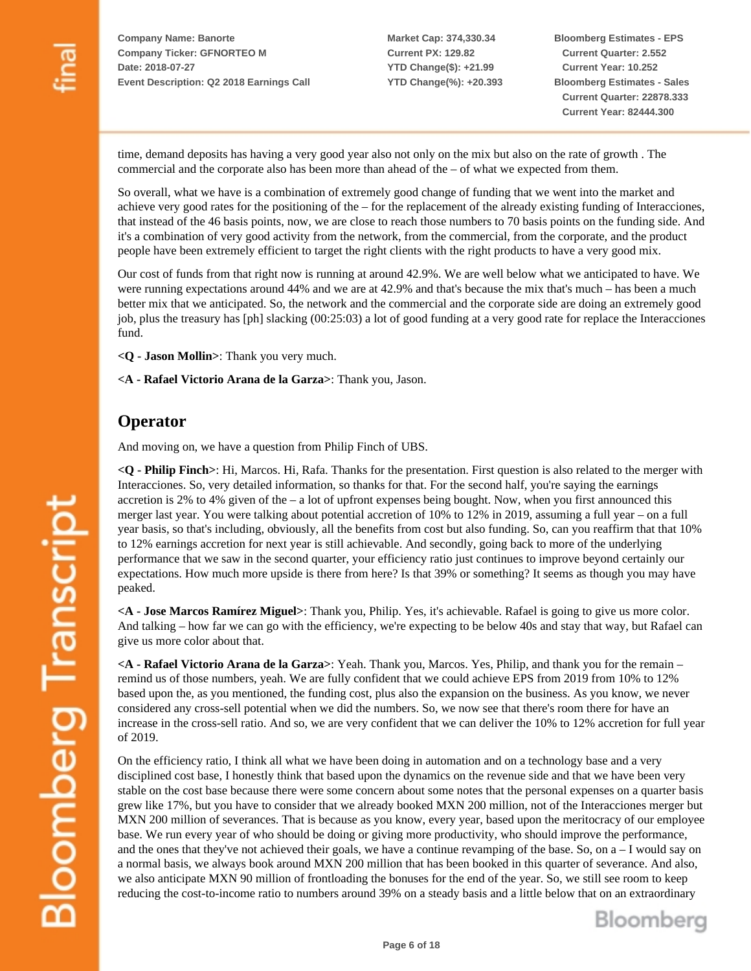**Market Cap: 374,330.34 Current PX: 129.82 YTD Change(\$): +21.99 YTD Change(%): +20.393** **Bloomberg Estimates - EPS Current Quarter: 2.552 Current Year: 10.252 Bloomberg Estimates - Sales Current Quarter: 22878.333 Current Year: 82444.300**

time, demand deposits has having a very good year also not only on the mix but also on the rate of growth . The commercial and the corporate also has been more than ahead of the – of what we expected from them.

So overall, what we have is a combination of extremely good change of funding that we went into the market and achieve very good rates for the positioning of the – for the replacement of the already existing funding of Interacciones, that instead of the 46 basis points, now, we are close to reach those numbers to 70 basis points on the funding side. And it's a combination of very good activity from the network, from the commercial, from the corporate, and the product people have been extremely efficient to target the right clients with the right products to have a very good mix.

Our cost of funds from that right now is running at around 42.9%. We are well below what we anticipated to have. We were running expectations around 44% and we are at 42.9% and that's because the mix that's much – has been a much better mix that we anticipated. So, the network and the commercial and the corporate side are doing an extremely good job, plus the treasury has [ph] slacking (00:25:03) a lot of good funding at a very good rate for replace the Interacciones fund.

**<Q - Jason Mollin>**: Thank you very much.

**<A - Rafael Victorio Arana de la Garza>**: Thank you, Jason.

#### **Operator**

And moving on, we have a question from Philip Finch of UBS.

**<Q - Philip Finch>**: Hi, Marcos. Hi, Rafa. Thanks for the presentation. First question is also related to the merger with Interacciones. So, very detailed information, so thanks for that. For the second half, you're saying the earnings accretion is 2% to 4% given of the – a lot of upfront expenses being bought. Now, when you first announced this merger last year. You were talking about potential accretion of 10% to 12% in 2019, assuming a full year – on a full year basis, so that's including, obviously, all the benefits from cost but also funding. So, can you reaffirm that that 10% to 12% earnings accretion for next year is still achievable. And secondly, going back to more of the underlying performance that we saw in the second quarter, your efficiency ratio just continues to improve beyond certainly our expectations. How much more upside is there from here? Is that 39% or something? It seems as though you may have peaked.

**<A - Jose Marcos Ramírez Miguel>**: Thank you, Philip. Yes, it's achievable. Rafael is going to give us more color. And talking – how far we can go with the efficiency, we're expecting to be below 40s and stay that way, but Rafael can give us more color about that.

**<A - Rafael Victorio Arana de la Garza>**: Yeah. Thank you, Marcos. Yes, Philip, and thank you for the remain – remind us of those numbers, yeah. We are fully confident that we could achieve EPS from 2019 from 10% to 12% based upon the, as you mentioned, the funding cost, plus also the expansion on the business. As you know, we never considered any cross-sell potential when we did the numbers. So, we now see that there's room there for have an increase in the cross-sell ratio. And so, we are very confident that we can deliver the 10% to 12% accretion for full year of 2019.

On the efficiency ratio, I think all what we have been doing in automation and on a technology base and a very disciplined cost base, I honestly think that based upon the dynamics on the revenue side and that we have been very stable on the cost base because there were some concern about some notes that the personal expenses on a quarter basis grew like 17%, but you have to consider that we already booked MXN 200 million, not of the Interacciones merger but MXN 200 million of severances. That is because as you know, every year, based upon the meritocracy of our employee base. We run every year of who should be doing or giving more productivity, who should improve the performance, and the ones that they've not achieved their goals, we have a continue revamping of the base. So, on  $a - I$  would say on a normal basis, we always book around MXN 200 million that has been booked in this quarter of severance. And also, we also anticipate MXN 90 million of frontloading the bonuses for the end of the year. So, we still see room to keep reducing the cost-to-income ratio to numbers around 39% on a steady basis and a little below that on an extraordinary

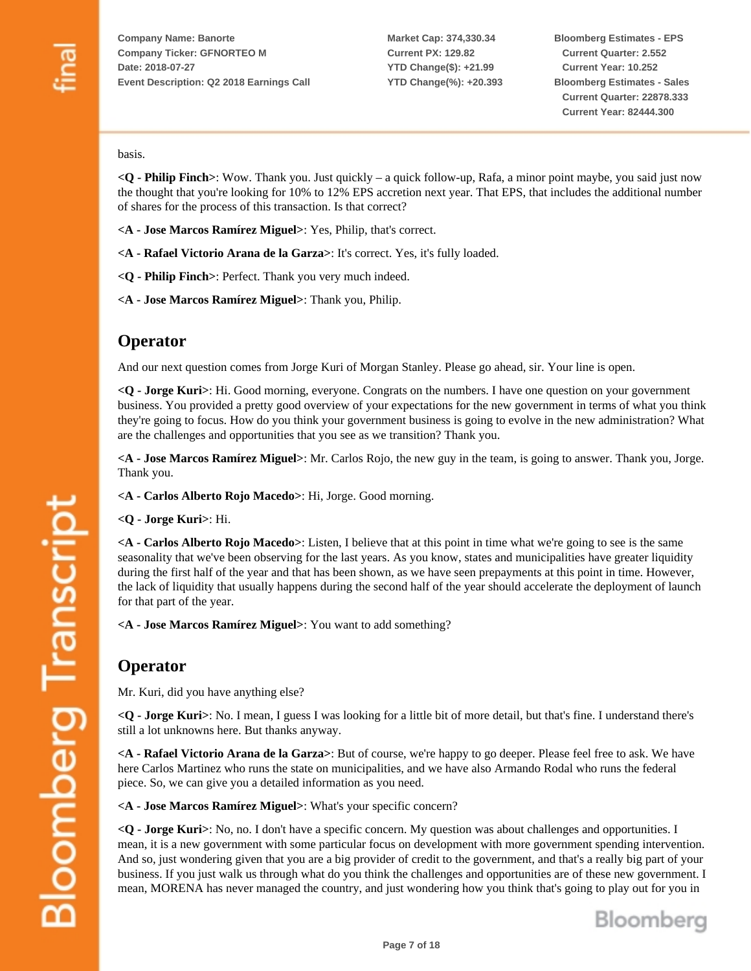**Market Cap: 374,330.34 Current PX: 129.82 YTD Change(\$): +21.99 YTD Change(%): +20.393** **Bloomberg Estimates - EPS Current Quarter: 2.552 Current Year: 10.252 Bloomberg Estimates - Sales Current Quarter: 22878.333 Current Year: 82444.300**

basis.

**<Q - Philip Finch>**: Wow. Thank you. Just quickly – a quick follow-up, Rafa, a minor point maybe, you said just now the thought that you're looking for 10% to 12% EPS accretion next year. That EPS, that includes the additional number of shares for the process of this transaction. Is that correct?

- **<A Jose Marcos Ramírez Miguel>**: Yes, Philip, that's correct.
- **<A Rafael Victorio Arana de la Garza>**: It's correct. Yes, it's fully loaded.
- **<Q Philip Finch>**: Perfect. Thank you very much indeed.
- **<A Jose Marcos Ramírez Miguel>**: Thank you, Philip.

#### **Operator**

And our next question comes from Jorge Kuri of Morgan Stanley. Please go ahead, sir. Your line is open.

**<Q - Jorge Kuri>**: Hi. Good morning, everyone. Congrats on the numbers. I have one question on your government business. You provided a pretty good overview of your expectations for the new government in terms of what you think they're going to focus. How do you think your government business is going to evolve in the new administration? What are the challenges and opportunities that you see as we transition? Thank you.

**<A - Jose Marcos Ramírez Miguel>**: Mr. Carlos Rojo, the new guy in the team, is going to answer. Thank you, Jorge. Thank you.

**<A - Carlos Alberto Rojo Macedo>**: Hi, Jorge. Good morning.

**<Q - Jorge Kuri>**: Hi.

**<A - Carlos Alberto Rojo Macedo>**: Listen, I believe that at this point in time what we're going to see is the same seasonality that we've been observing for the last years. As you know, states and municipalities have greater liquidity during the first half of the year and that has been shown, as we have seen prepayments at this point in time. However, the lack of liquidity that usually happens during the second half of the year should accelerate the deployment of launch for that part of the year.

**<A - Jose Marcos Ramírez Miguel>**: You want to add something?

#### **Operator**

Mr. Kuri, did you have anything else?

**<Q - Jorge Kuri>**: No. I mean, I guess I was looking for a little bit of more detail, but that's fine. I understand there's still a lot unknowns here. But thanks anyway.

**<A - Rafael Victorio Arana de la Garza>**: But of course, we're happy to go deeper. Please feel free to ask. We have here Carlos Martinez who runs the state on municipalities, and we have also Armando Rodal who runs the federal piece. So, we can give you a detailed information as you need.

**<A - Jose Marcos Ramírez Miguel>**: What's your specific concern?

**<Q - Jorge Kuri>**: No, no. I don't have a specific concern. My question was about challenges and opportunities. I mean, it is a new government with some particular focus on development with more government spending intervention. And so, just wondering given that you are a big provider of credit to the government, and that's a really big part of your business. If you just walk us through what do you think the challenges and opportunities are of these new government. I mean, MORENA has never managed the country, and just wondering how you think that's going to play out for you in

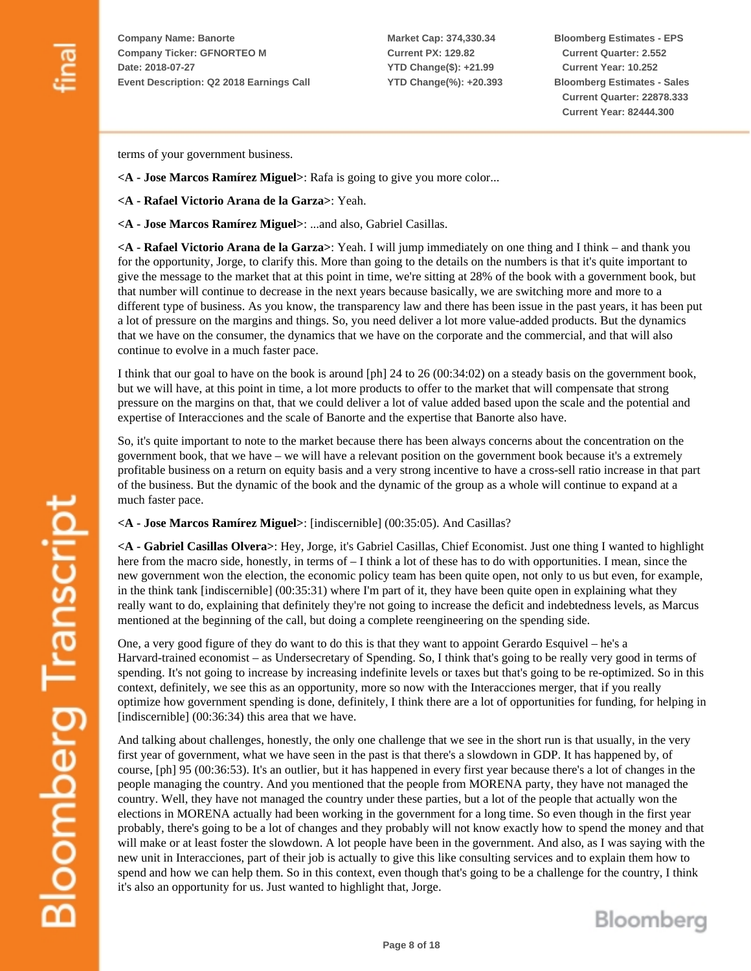**Market Cap: 374,330.34 Current PX: 129.82 YTD Change(\$): +21.99 YTD Change(%): +20.393** **Bloomberg Estimates - EPS Current Quarter: 2.552 Current Year: 10.252 Bloomberg Estimates - Sales Current Quarter: 22878.333 Current Year: 82444.300**

terms of your government business.

- **<A Jose Marcos Ramírez Miguel>**: Rafa is going to give you more color...
- **<A Rafael Victorio Arana de la Garza>**: Yeah.
- **<A Jose Marcos Ramírez Miguel>**: ...and also, Gabriel Casillas.

**<A - Rafael Victorio Arana de la Garza>**: Yeah. I will jump immediately on one thing and I think – and thank you for the opportunity, Jorge, to clarify this. More than going to the details on the numbers is that it's quite important to give the message to the market that at this point in time, we're sitting at 28% of the book with a government book, but that number will continue to decrease in the next years because basically, we are switching more and more to a different type of business. As you know, the transparency law and there has been issue in the past years, it has been put a lot of pressure on the margins and things. So, you need deliver a lot more value-added products. But the dynamics that we have on the consumer, the dynamics that we have on the corporate and the commercial, and that will also continue to evolve in a much faster pace.

I think that our goal to have on the book is around [ph] 24 to 26 (00:34:02) on a steady basis on the government book, but we will have, at this point in time, a lot more products to offer to the market that will compensate that strong pressure on the margins on that, that we could deliver a lot of value added based upon the scale and the potential and expertise of Interacciones and the scale of Banorte and the expertise that Banorte also have.

So, it's quite important to note to the market because there has been always concerns about the concentration on the government book, that we have – we will have a relevant position on the government book because it's a extremely profitable business on a return on equity basis and a very strong incentive to have a cross-sell ratio increase in that part of the business. But the dynamic of the book and the dynamic of the group as a whole will continue to expand at a much faster pace.

**<A - Jose Marcos Ramírez Miguel>**: [indiscernible] (00:35:05). And Casillas?

**<A - Gabriel Casillas Olvera>**: Hey, Jorge, it's Gabriel Casillas, Chief Economist. Just one thing I wanted to highlight here from the macro side, honestly, in terms of – I think a lot of these has to do with opportunities. I mean, since the new government won the election, the economic policy team has been quite open, not only to us but even, for example, in the think tank [indiscernible] (00:35:31) where I'm part of it, they have been quite open in explaining what they really want to do, explaining that definitely they're not going to increase the deficit and indebtedness levels, as Marcus mentioned at the beginning of the call, but doing a complete reengineering on the spending side.

One, a very good figure of they do want to do this is that they want to appoint Gerardo Esquivel – he's a Harvard-trained economist – as Undersecretary of Spending. So, I think that's going to be really very good in terms of spending. It's not going to increase by increasing indefinite levels or taxes but that's going to be re-optimized. So in this context, definitely, we see this as an opportunity, more so now with the Interacciones merger, that if you really optimize how government spending is done, definitely, I think there are a lot of opportunities for funding, for helping in [indiscernible] (00:36:34) this area that we have.

And talking about challenges, honestly, the only one challenge that we see in the short run is that usually, in the very first year of government, what we have seen in the past is that there's a slowdown in GDP. It has happened by, of course, [ph] 95 (00:36:53). It's an outlier, but it has happened in every first year because there's a lot of changes in the people managing the country. And you mentioned that the people from MORENA party, they have not managed the country. Well, they have not managed the country under these parties, but a lot of the people that actually won the elections in MORENA actually had been working in the government for a long time. So even though in the first year probably, there's going to be a lot of changes and they probably will not know exactly how to spend the money and that will make or at least foster the slowdown. A lot people have been in the government. And also, as I was saying with the new unit in Interacciones, part of their job is actually to give this like consulting services and to explain them how to spend and how we can help them. So in this context, even though that's going to be a challenge for the country, I think it's also an opportunity for us. Just wanted to highlight that, Jorge.

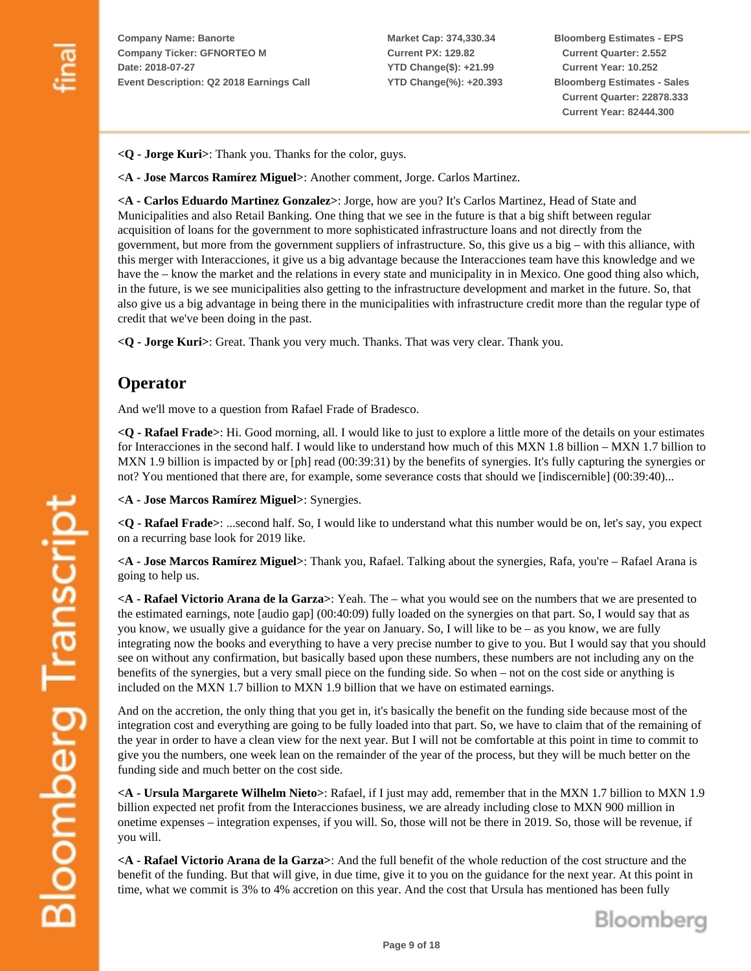**Market Cap: 374,330.34 Current PX: 129.82 YTD Change(\$): +21.99 YTD Change(%): +20.393** **Bloomberg Estimates - EPS Current Quarter: 2.552 Current Year: 10.252 Bloomberg Estimates - Sales Current Quarter: 22878.333 Current Year: 82444.300**

**<Q - Jorge Kuri>**: Thank you. Thanks for the color, guys.

**<A - Jose Marcos Ramírez Miguel>**: Another comment, Jorge. Carlos Martinez.

**<A - Carlos Eduardo Martinez Gonzalez>**: Jorge, how are you? It's Carlos Martinez, Head of State and Municipalities and also Retail Banking. One thing that we see in the future is that a big shift between regular acquisition of loans for the government to more sophisticated infrastructure loans and not directly from the government, but more from the government suppliers of infrastructure. So, this give us a big – with this alliance, with this merger with Interacciones, it give us a big advantage because the Interacciones team have this knowledge and we have the – know the market and the relations in every state and municipality in in Mexico. One good thing also which, in the future, is we see municipalities also getting to the infrastructure development and market in the future. So, that also give us a big advantage in being there in the municipalities with infrastructure credit more than the regular type of credit that we've been doing in the past.

**<Q - Jorge Kuri>**: Great. Thank you very much. Thanks. That was very clear. Thank you.

#### **Operator**

And we'll move to a question from Rafael Frade of Bradesco.

**<Q - Rafael Frade>**: Hi. Good morning, all. I would like to just to explore a little more of the details on your estimates for Interacciones in the second half. I would like to understand how much of this MXN 1.8 billion – MXN 1.7 billion to MXN 1.9 billion is impacted by or [ph] read (00:39:31) by the benefits of synergies. It's fully capturing the synergies or not? You mentioned that there are, for example, some severance costs that should we [indiscernible] (00:39:40)...

**<A - Jose Marcos Ramírez Miguel>**: Synergies.

**<Q - Rafael Frade>**: ...second half. So, I would like to understand what this number would be on, let's say, you expect on a recurring base look for 2019 like.

**<A - Jose Marcos Ramírez Miguel>**: Thank you, Rafael. Talking about the synergies, Rafa, you're – Rafael Arana is going to help us.

**<A - Rafael Victorio Arana de la Garza>**: Yeah. The – what you would see on the numbers that we are presented to the estimated earnings, note [audio gap] (00:40:09) fully loaded on the synergies on that part. So, I would say that as you know, we usually give a guidance for the year on January. So, I will like to be – as you know, we are fully integrating now the books and everything to have a very precise number to give to you. But I would say that you should see on without any confirmation, but basically based upon these numbers, these numbers are not including any on the benefits of the synergies, but a very small piece on the funding side. So when – not on the cost side or anything is included on the MXN 1.7 billion to MXN 1.9 billion that we have on estimated earnings.

And on the accretion, the only thing that you get in, it's basically the benefit on the funding side because most of the integration cost and everything are going to be fully loaded into that part. So, we have to claim that of the remaining of the year in order to have a clean view for the next year. But I will not be comfortable at this point in time to commit to give you the numbers, one week lean on the remainder of the year of the process, but they will be much better on the funding side and much better on the cost side.

**<A - Ursula Margarete Wilhelm Nieto>**: Rafael, if I just may add, remember that in the MXN 1.7 billion to MXN 1.9 billion expected net profit from the Interacciones business, we are already including close to MXN 900 million in onetime expenses – integration expenses, if you will. So, those will not be there in 2019. So, those will be revenue, if you will.

**<A - Rafael Victorio Arana de la Garza>**: And the full benefit of the whole reduction of the cost structure and the benefit of the funding. But that will give, in due time, give it to you on the guidance for the next year. At this point in time, what we commit is 3% to 4% accretion on this year. And the cost that Ursula has mentioned has been fully

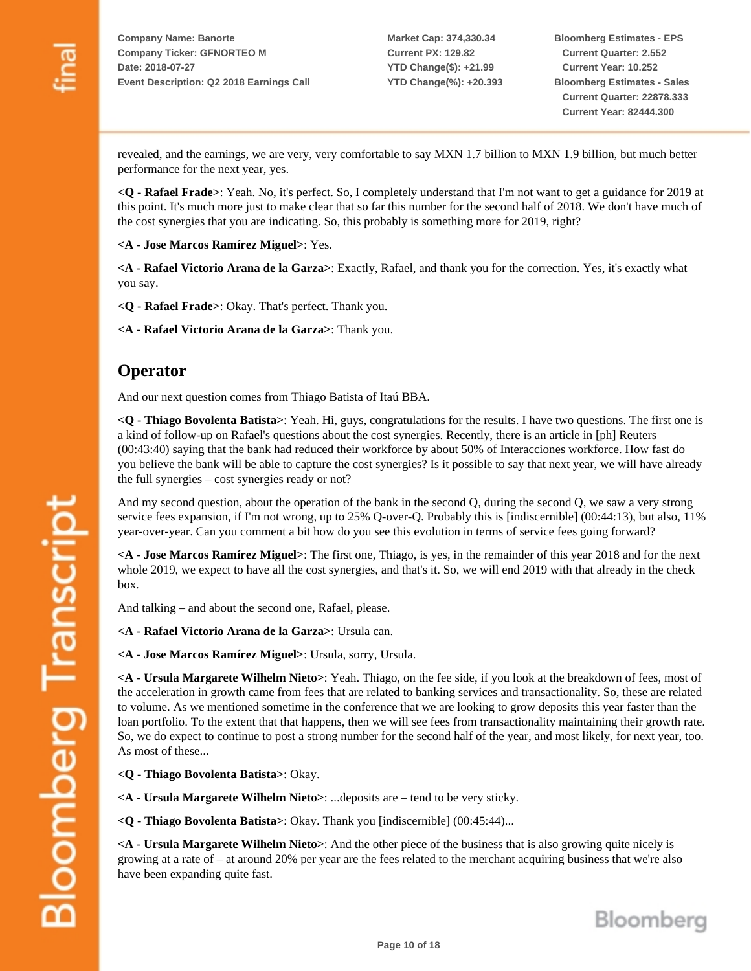revealed, and the earnings, we are very, very comfortable to say MXN 1.7 billion to MXN 1.9 billion, but much better performance for the next year, yes.

**<Q - Rafael Frade>**: Yeah. No, it's perfect. So, I completely understand that I'm not want to get a guidance for 2019 at this point. It's much more just to make clear that so far this number for the second half of 2018. We don't have much of the cost synergies that you are indicating. So, this probably is something more for 2019, right?

**<A - Jose Marcos Ramírez Miguel>**: Yes.

**<A - Rafael Victorio Arana de la Garza>**: Exactly, Rafael, and thank you for the correction. Yes, it's exactly what you say.

**<Q - Rafael Frade>**: Okay. That's perfect. Thank you.

**<A - Rafael Victorio Arana de la Garza>**: Thank you.

#### **Operator**

And our next question comes from Thiago Batista of Itaú BBA.

**<Q - Thiago Bovolenta Batista>**: Yeah. Hi, guys, congratulations for the results. I have two questions. The first one is a kind of follow-up on Rafael's questions about the cost synergies. Recently, there is an article in [ph] Reuters (00:43:40) saying that the bank had reduced their workforce by about 50% of Interacciones workforce. How fast do you believe the bank will be able to capture the cost synergies? Is it possible to say that next year, we will have already the full synergies – cost synergies ready or not?

And my second question, about the operation of the bank in the second Q, during the second Q, we saw a very strong service fees expansion, if I'm not wrong, up to 25% Q-over-Q. Probably this is [indiscernible] (00:44:13), but also, 11% year-over-year. Can you comment a bit how do you see this evolution in terms of service fees going forward?

**<A - Jose Marcos Ramírez Miguel>**: The first one, Thiago, is yes, in the remainder of this year 2018 and for the next whole 2019, we expect to have all the cost synergies, and that's it. So, we will end 2019 with that already in the check box.

And talking – and about the second one, Rafael, please.

**<A - Rafael Victorio Arana de la Garza>**: Ursula can.

**<A - Jose Marcos Ramírez Miguel>**: Ursula, sorry, Ursula.

**<A - Ursula Margarete Wilhelm Nieto>**: Yeah. Thiago, on the fee side, if you look at the breakdown of fees, most of the acceleration in growth came from fees that are related to banking services and transactionality. So, these are related to volume. As we mentioned sometime in the conference that we are looking to grow deposits this year faster than the loan portfolio. To the extent that that happens, then we will see fees from transactionality maintaining their growth rate. So, we do expect to continue to post a strong number for the second half of the year, and most likely, for next year, too. As most of these...

**<Q - Thiago Bovolenta Batista>**: Okay.

**<A - Ursula Margarete Wilhelm Nieto>**: ...deposits are – tend to be very sticky.

**<Q - Thiago Bovolenta Batista>**: Okay. Thank you [indiscernible] (00:45:44)...

**<A - Ursula Margarete Wilhelm Nieto>**: And the other piece of the business that is also growing quite nicely is growing at a rate of – at around 20% per year are the fees related to the merchant acquiring business that we're also have been expanding quite fast.

Bloomberg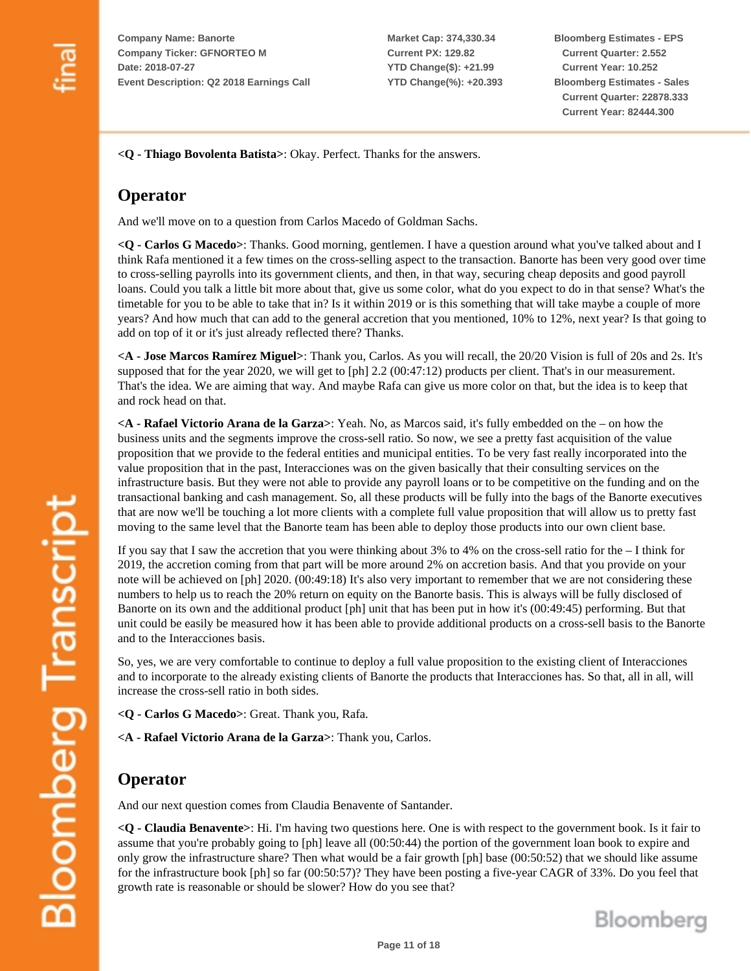**Market Cap: 374,330.34 Current PX: 129.82 YTD Change(\$): +21.99 YTD Change(%): +20.393** **Bloomberg Estimates - EPS Current Quarter: 2.552 Current Year: 10.252 Bloomberg Estimates - Sales Current Quarter: 22878.333 Current Year: 82444.300**

**<Q - Thiago Bovolenta Batista>**: Okay. Perfect. Thanks for the answers.

## **Operator**

And we'll move on to a question from Carlos Macedo of Goldman Sachs.

**<Q - Carlos G Macedo>**: Thanks. Good morning, gentlemen. I have a question around what you've talked about and I think Rafa mentioned it a few times on the cross-selling aspect to the transaction. Banorte has been very good over time to cross-selling payrolls into its government clients, and then, in that way, securing cheap deposits and good payroll loans. Could you talk a little bit more about that, give us some color, what do you expect to do in that sense? What's the timetable for you to be able to take that in? Is it within 2019 or is this something that will take maybe a couple of more years? And how much that can add to the general accretion that you mentioned, 10% to 12%, next year? Is that going to add on top of it or it's just already reflected there? Thanks.

**<A - Jose Marcos Ramírez Miguel>**: Thank you, Carlos. As you will recall, the 20/20 Vision is full of 20s and 2s. It's supposed that for the year 2020, we will get to [ph] 2.2 (00:47:12) products per client. That's in our measurement. That's the idea. We are aiming that way. And maybe Rafa can give us more color on that, but the idea is to keep that and rock head on that.

**<A - Rafael Victorio Arana de la Garza>**: Yeah. No, as Marcos said, it's fully embedded on the – on how the business units and the segments improve the cross-sell ratio. So now, we see a pretty fast acquisition of the value proposition that we provide to the federal entities and municipal entities. To be very fast really incorporated into the value proposition that in the past, Interacciones was on the given basically that their consulting services on the infrastructure basis. But they were not able to provide any payroll loans or to be competitive on the funding and on the transactional banking and cash management. So, all these products will be fully into the bags of the Banorte executives that are now we'll be touching a lot more clients with a complete full value proposition that will allow us to pretty fast moving to the same level that the Banorte team has been able to deploy those products into our own client base.

If you say that I saw the accretion that you were thinking about 3% to 4% on the cross-sell ratio for the – I think for 2019, the accretion coming from that part will be more around 2% on accretion basis. And that you provide on your note will be achieved on [ph] 2020. (00:49:18) It's also very important to remember that we are not considering these numbers to help us to reach the 20% return on equity on the Banorte basis. This is always will be fully disclosed of Banorte on its own and the additional product [ph] unit that has been put in how it's (00:49:45) performing. But that unit could be easily be measured how it has been able to provide additional products on a cross-sell basis to the Banorte and to the Interacciones basis.

So, yes, we are very comfortable to continue to deploy a full value proposition to the existing client of Interacciones and to incorporate to the already existing clients of Banorte the products that Interacciones has. So that, all in all, will increase the cross-sell ratio in both sides.

- **<Q Carlos G Macedo>**: Great. Thank you, Rafa.
- **<A Rafael Victorio Arana de la Garza>**: Thank you, Carlos.

### **Operator**

And our next question comes from Claudia Benavente of Santander.

**<Q - Claudia Benavente>**: Hi. I'm having two questions here. One is with respect to the government book. Is it fair to assume that you're probably going to [ph] leave all (00:50:44) the portion of the government loan book to expire and only grow the infrastructure share? Then what would be a fair growth [ph] base (00:50:52) that we should like assume for the infrastructure book [ph] so far (00:50:57)? They have been posting a five-year CAGR of 33%. Do you feel that growth rate is reasonable or should be slower? How do you see that?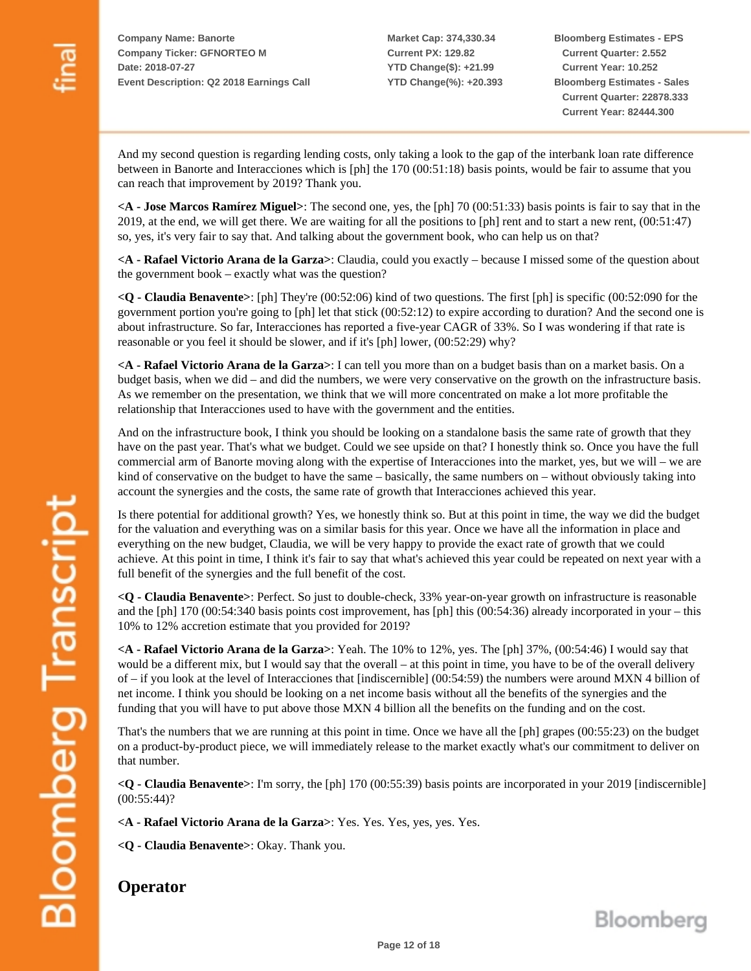**Market Cap: 374,330.34 Current PX: 129.82 YTD Change(\$): +21.99 YTD Change(%): +20.393** **Bloomberg Estimates - EPS Current Quarter: 2.552 Current Year: 10.252 Bloomberg Estimates - Sales Current Quarter: 22878.333 Current Year: 82444.300**

And my second question is regarding lending costs, only taking a look to the gap of the interbank loan rate difference between in Banorte and Interacciones which is [ph] the 170 (00:51:18) basis points, would be fair to assume that you can reach that improvement by 2019? Thank you.

**<A - Jose Marcos Ramírez Miguel>**: The second one, yes, the [ph] 70 (00:51:33) basis points is fair to say that in the 2019, at the end, we will get there. We are waiting for all the positions to [ph] rent and to start a new rent, (00:51:47) so, yes, it's very fair to say that. And talking about the government book, who can help us on that?

**<A - Rafael Victorio Arana de la Garza>**: Claudia, could you exactly – because I missed some of the question about the government book – exactly what was the question?

**<Q - Claudia Benavente>**: [ph] They're (00:52:06) kind of two questions. The first [ph] is specific (00:52:090 for the government portion you're going to [ph] let that stick (00:52:12) to expire according to duration? And the second one is about infrastructure. So far, Interacciones has reported a five-year CAGR of 33%. So I was wondering if that rate is reasonable or you feel it should be slower, and if it's [ph] lower, (00:52:29) why?

**<A - Rafael Victorio Arana de la Garza>**: I can tell you more than on a budget basis than on a market basis. On a budget basis, when we did – and did the numbers, we were very conservative on the growth on the infrastructure basis. As we remember on the presentation, we think that we will more concentrated on make a lot more profitable the relationship that Interacciones used to have with the government and the entities.

And on the infrastructure book, I think you should be looking on a standalone basis the same rate of growth that they have on the past year. That's what we budget. Could we see upside on that? I honestly think so. Once you have the full commercial arm of Banorte moving along with the expertise of Interacciones into the market, yes, but we will – we are kind of conservative on the budget to have the same – basically, the same numbers on – without obviously taking into account the synergies and the costs, the same rate of growth that Interacciones achieved this year.

Is there potential for additional growth? Yes, we honestly think so. But at this point in time, the way we did the budget for the valuation and everything was on a similar basis for this year. Once we have all the information in place and everything on the new budget, Claudia, we will be very happy to provide the exact rate of growth that we could achieve. At this point in time, I think it's fair to say that what's achieved this year could be repeated on next year with a full benefit of the synergies and the full benefit of the cost.

**<Q - Claudia Benavente>**: Perfect. So just to double-check, 33% year-on-year growth on infrastructure is reasonable and the [ph] 170 (00:54:340 basis points cost improvement, has [ph] this (00:54:36) already incorporated in your – this 10% to 12% accretion estimate that you provided for 2019?

**<A - Rafael Victorio Arana de la Garza>**: Yeah. The 10% to 12%, yes. The [ph] 37%, (00:54:46) I would say that would be a different mix, but I would say that the overall – at this point in time, you have to be of the overall delivery of – if you look at the level of Interacciones that [indiscernible] (00:54:59) the numbers were around MXN 4 billion of net income. I think you should be looking on a net income basis without all the benefits of the synergies and the funding that you will have to put above those MXN 4 billion all the benefits on the funding and on the cost.

That's the numbers that we are running at this point in time. Once we have all the [ph] grapes (00:55:23) on the budget on a product-by-product piece, we will immediately release to the market exactly what's our commitment to deliver on that number.

**<Q - Claudia Benavente>**: I'm sorry, the [ph] 170 (00:55:39) basis points are incorporated in your 2019 [indiscernible] (00:55:44)?

**<A - Rafael Victorio Arana de la Garza>**: Yes. Yes. Yes, yes, yes. Yes.

**<Q - Claudia Benavente>**: Okay. Thank you.

**Operator**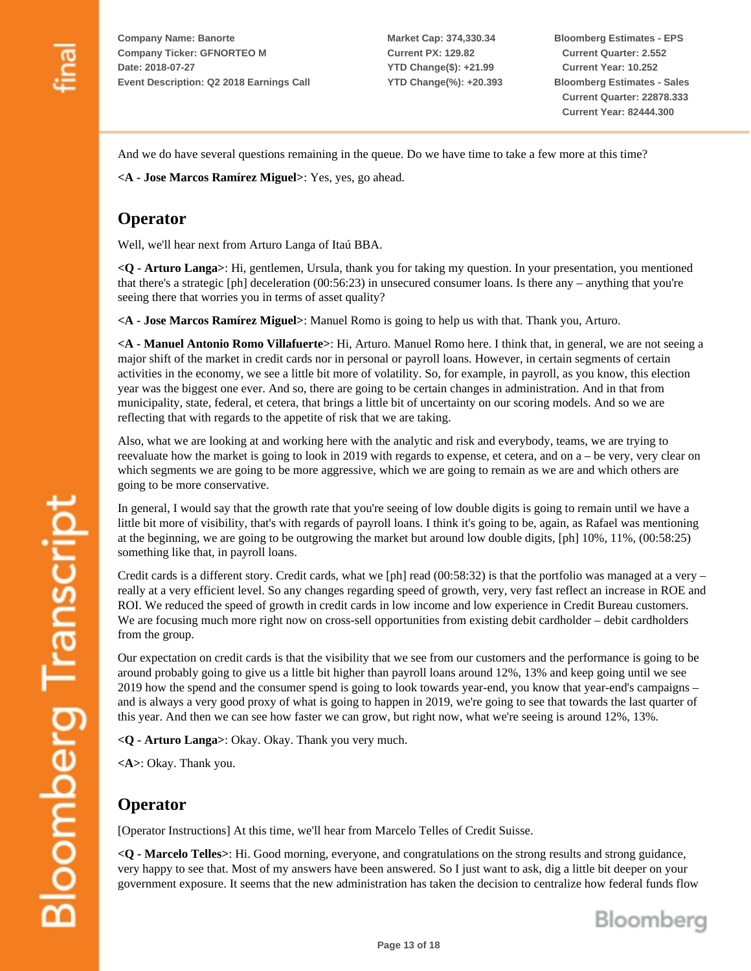**Market Cap: 374,330.34 Current PX: 129.82 YTD Change(\$): +21.99 YTD Change(%): +20.393** **Bloomberg Estimates - EPS Current Quarter: 2.552 Current Year: 10.252 Bloomberg Estimates - Sales Current Quarter: 22878.333 Current Year: 82444.300**

And we do have several questions remaining in the queue. Do we have time to take a few more at this time?

**<A - Jose Marcos Ramírez Miguel>**: Yes, yes, go ahead.

#### **Operator**

Well, we'll hear next from Arturo Langa of Itaú BBA.

**<Q - Arturo Langa>**: Hi, gentlemen, Ursula, thank you for taking my question. In your presentation, you mentioned that there's a strategic [ph] deceleration (00:56:23) in unsecured consumer loans. Is there any – anything that you're seeing there that worries you in terms of asset quality?

**<A - Jose Marcos Ramírez Miguel>**: Manuel Romo is going to help us with that. Thank you, Arturo.

**<A - Manuel Antonio Romo Villafuerte>**: Hi, Arturo. Manuel Romo here. I think that, in general, we are not seeing a major shift of the market in credit cards nor in personal or payroll loans. However, in certain segments of certain activities in the economy, we see a little bit more of volatility. So, for example, in payroll, as you know, this election year was the biggest one ever. And so, there are going to be certain changes in administration. And in that from municipality, state, federal, et cetera, that brings a little bit of uncertainty on our scoring models. And so we are reflecting that with regards to the appetite of risk that we are taking.

Also, what we are looking at and working here with the analytic and risk and everybody, teams, we are trying to reevaluate how the market is going to look in 2019 with regards to expense, et cetera, and on a – be very, very clear on which segments we are going to be more aggressive, which we are going to remain as we are and which others are going to be more conservative.

In general, I would say that the growth rate that you're seeing of low double digits is going to remain until we have a little bit more of visibility, that's with regards of payroll loans. I think it's going to be, again, as Rafael was mentioning at the beginning, we are going to be outgrowing the market but around low double digits, [ph] 10%, 11%, (00:58:25) something like that, in payroll loans.

Credit cards is a different story. Credit cards, what we [ph] read  $(00:58:32)$  is that the portfolio was managed at a very – really at a very efficient level. So any changes regarding speed of growth, very, very fast reflect an increase in ROE and ROI. We reduced the speed of growth in credit cards in low income and low experience in Credit Bureau customers. We are focusing much more right now on cross-sell opportunities from existing debit cardholder – debit cardholders from the group.

Our expectation on credit cards is that the visibility that we see from our customers and the performance is going to be around probably going to give us a little bit higher than payroll loans around 12%, 13% and keep going until we see 2019 how the spend and the consumer spend is going to look towards year-end, you know that year-end's campaigns – and is always a very good proxy of what is going to happen in 2019, we're going to see that towards the last quarter of this year. And then we can see how faster we can grow, but right now, what we're seeing is around 12%, 13%.

**<Q - Arturo Langa>**: Okay. Okay. Thank you very much.

**<A>**: Okay. Thank you.

### **Operator**

[Operator Instructions] At this time, we'll hear from Marcelo Telles of Credit Suisse.

**<Q - Marcelo Telles>**: Hi. Good morning, everyone, and congratulations on the strong results and strong guidance, very happy to see that. Most of my answers have been answered. So I just want to ask, dig a little bit deeper on your government exposure. It seems that the new administration has taken the decision to centralize how federal funds flow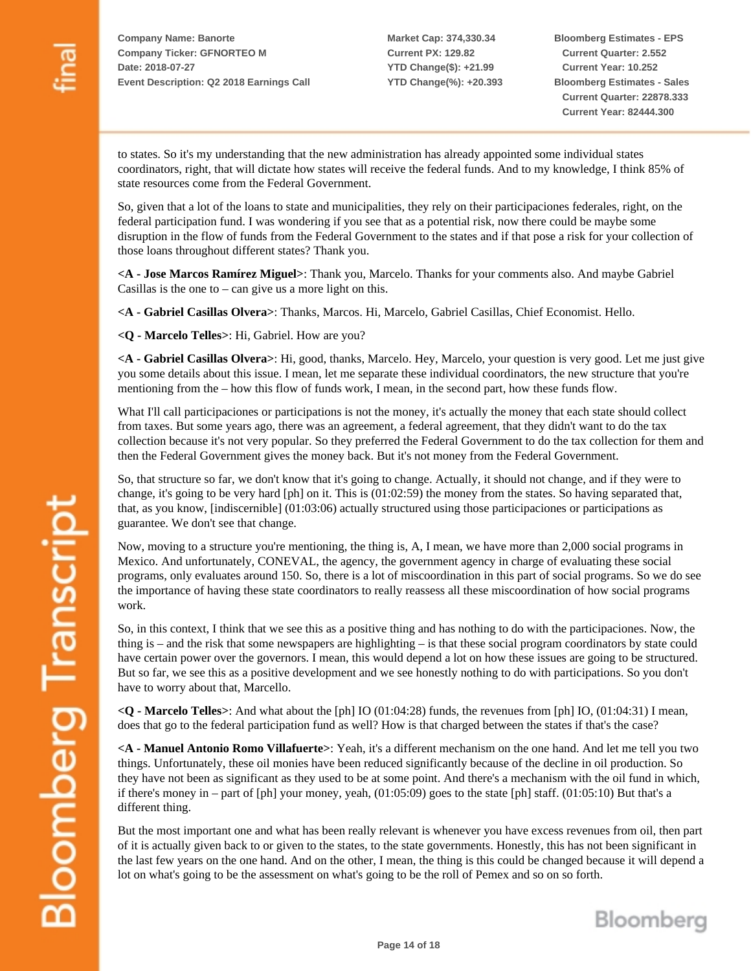**Market Cap: 374,330.34 Current PX: 129.82 YTD Change(\$): +21.99 YTD Change(%): +20.393** **Bloomberg Estimates - EPS Current Quarter: 2.552 Current Year: 10.252 Bloomberg Estimates - Sales Current Quarter: 22878.333 Current Year: 82444.300**

to states. So it's my understanding that the new administration has already appointed some individual states coordinators, right, that will dictate how states will receive the federal funds. And to my knowledge, I think 85% of state resources come from the Federal Government.

So, given that a lot of the loans to state and municipalities, they rely on their participaciones federales, right, on the federal participation fund. I was wondering if you see that as a potential risk, now there could be maybe some disruption in the flow of funds from the Federal Government to the states and if that pose a risk for your collection of those loans throughout different states? Thank you.

**<A - Jose Marcos Ramírez Miguel>**: Thank you, Marcelo. Thanks for your comments also. And maybe Gabriel Casillas is the one to  $-$  can give us a more light on this.

**<A - Gabriel Casillas Olvera>**: Thanks, Marcos. Hi, Marcelo, Gabriel Casillas, Chief Economist. Hello.

**<Q - Marcelo Telles>**: Hi, Gabriel. How are you?

**<A - Gabriel Casillas Olvera>**: Hi, good, thanks, Marcelo. Hey, Marcelo, your question is very good. Let me just give you some details about this issue. I mean, let me separate these individual coordinators, the new structure that you're mentioning from the – how this flow of funds work, I mean, in the second part, how these funds flow.

What I'll call participaciones or participations is not the money, it's actually the money that each state should collect from taxes. But some years ago, there was an agreement, a federal agreement, that they didn't want to do the tax collection because it's not very popular. So they preferred the Federal Government to do the tax collection for them and then the Federal Government gives the money back. But it's not money from the Federal Government.

So, that structure so far, we don't know that it's going to change. Actually, it should not change, and if they were to change, it's going to be very hard [ph] on it. This is (01:02:59) the money from the states. So having separated that, that, as you know, [indiscernible] (01:03:06) actually structured using those participaciones or participations as guarantee. We don't see that change.

Now, moving to a structure you're mentioning, the thing is, A, I mean, we have more than 2,000 social programs in Mexico. And unfortunately, CONEVAL, the agency, the government agency in charge of evaluating these social programs, only evaluates around 150. So, there is a lot of miscoordination in this part of social programs. So we do see the importance of having these state coordinators to really reassess all these miscoordination of how social programs work.

So, in this context, I think that we see this as a positive thing and has nothing to do with the participaciones. Now, the thing is – and the risk that some newspapers are highlighting – is that these social program coordinators by state could have certain power over the governors. I mean, this would depend a lot on how these issues are going to be structured. But so far, we see this as a positive development and we see honestly nothing to do with participations. So you don't have to worry about that, Marcello.

**<Q - Marcelo Telles>**: And what about the [ph] IO (01:04:28) funds, the revenues from [ph] IO, (01:04:31) I mean, does that go to the federal participation fund as well? How is that charged between the states if that's the case?

**<A - Manuel Antonio Romo Villafuerte>**: Yeah, it's a different mechanism on the one hand. And let me tell you two things. Unfortunately, these oil monies have been reduced significantly because of the decline in oil production. So they have not been as significant as they used to be at some point. And there's a mechanism with the oil fund in which, if there's money in – part of [ph] your money, yeah, (01:05:09) goes to the state [ph] staff. (01:05:10) But that's a different thing.

But the most important one and what has been really relevant is whenever you have excess revenues from oil, then part of it is actually given back to or given to the states, to the state governments. Honestly, this has not been significant in the last few years on the one hand. And on the other, I mean, the thing is this could be changed because it will depend a lot on what's going to be the assessment on what's going to be the roll of Pemex and so on so forth.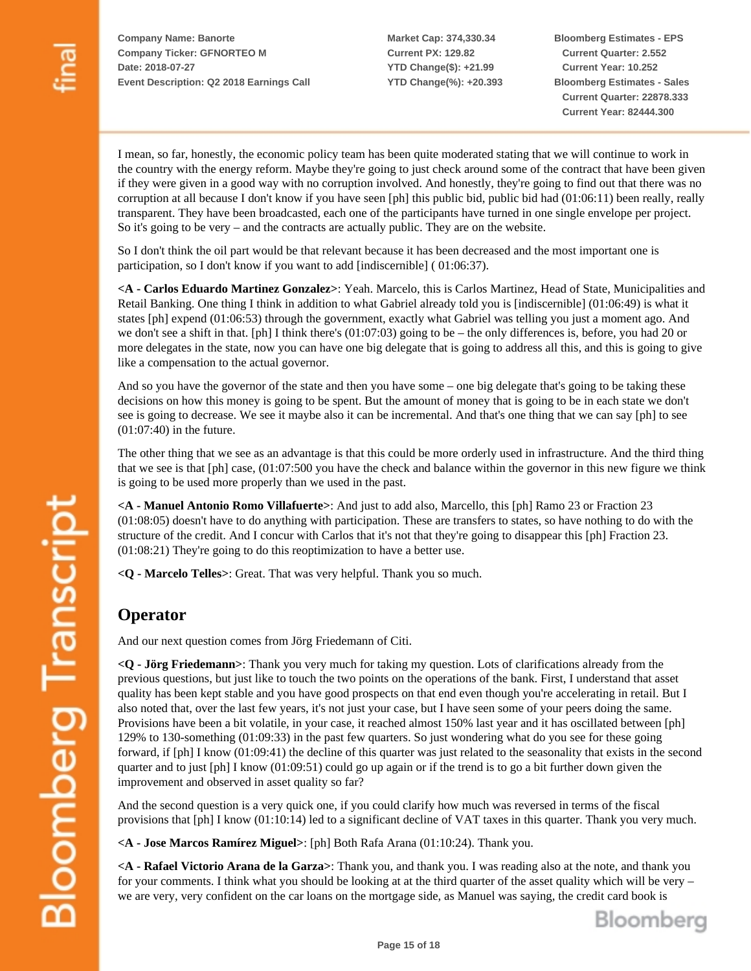**Market Cap: 374,330.34 Current PX: 129.82 YTD Change(\$): +21.99 YTD Change(%): +20.393** **Bloomberg Estimates - EPS Current Quarter: 2.552 Current Year: 10.252 Bloomberg Estimates - Sales Current Quarter: 22878.333 Current Year: 82444.300**

I mean, so far, honestly, the economic policy team has been quite moderated stating that we will continue to work in the country with the energy reform. Maybe they're going to just check around some of the contract that have been given if they were given in a good way with no corruption involved. And honestly, they're going to find out that there was no corruption at all because I don't know if you have seen [ph] this public bid, public bid had (01:06:11) been really, really transparent. They have been broadcasted, each one of the participants have turned in one single envelope per project. So it's going to be very – and the contracts are actually public. They are on the website.

So I don't think the oil part would be that relevant because it has been decreased and the most important one is participation, so I don't know if you want to add [indiscernible] ( 01:06:37).

**<A - Carlos Eduardo Martinez Gonzalez>**: Yeah. Marcelo, this is Carlos Martinez, Head of State, Municipalities and Retail Banking. One thing I think in addition to what Gabriel already told you is [indiscernible] (01:06:49) is what it states [ph] expend (01:06:53) through the government, exactly what Gabriel was telling you just a moment ago. And we don't see a shift in that. [ph] I think there's (01:07:03) going to be – the only differences is, before, you had 20 or more delegates in the state, now you can have one big delegate that is going to address all this, and this is going to give like a compensation to the actual governor.

And so you have the governor of the state and then you have some – one big delegate that's going to be taking these decisions on how this money is going to be spent. But the amount of money that is going to be in each state we don't see is going to decrease. We see it maybe also it can be incremental. And that's one thing that we can say [ph] to see (01:07:40) in the future.

The other thing that we see as an advantage is that this could be more orderly used in infrastructure. And the third thing that we see is that [ph] case, (01:07:500 you have the check and balance within the governor in this new figure we think is going to be used more properly than we used in the past.

**<A - Manuel Antonio Romo Villafuerte>**: And just to add also, Marcello, this [ph] Ramo 23 or Fraction 23 (01:08:05) doesn't have to do anything with participation. These are transfers to states, so have nothing to do with the structure of the credit. And I concur with Carlos that it's not that they're going to disappear this [ph] Fraction 23. (01:08:21) They're going to do this reoptimization to have a better use.

**<Q - Marcelo Telles>**: Great. That was very helpful. Thank you so much.

### **Operator**

And our next question comes from Jörg Friedemann of Citi.

**<Q - Jörg Friedemann>**: Thank you very much for taking my question. Lots of clarifications already from the previous questions, but just like to touch the two points on the operations of the bank. First, I understand that asset quality has been kept stable and you have good prospects on that end even though you're accelerating in retail. But I also noted that, over the last few years, it's not just your case, but I have seen some of your peers doing the same. Provisions have been a bit volatile, in your case, it reached almost 150% last year and it has oscillated between [ph] 129% to 130-something (01:09:33) in the past few quarters. So just wondering what do you see for these going forward, if [ph] I know (01:09:41) the decline of this quarter was just related to the seasonality that exists in the second quarter and to just [ph] I know (01:09:51) could go up again or if the trend is to go a bit further down given the improvement and observed in asset quality so far?

And the second question is a very quick one, if you could clarify how much was reversed in terms of the fiscal provisions that [ph] I know (01:10:14) led to a significant decline of VAT taxes in this quarter. Thank you very much.

**<A - Jose Marcos Ramírez Miguel>**: [ph] Both Rafa Arana (01:10:24). Thank you.

**<A - Rafael Victorio Arana de la Garza>**: Thank you, and thank you. I was reading also at the note, and thank you for your comments. I think what you should be looking at at the third quarter of the asset quality which will be very – we are very, very confident on the car loans on the mortgage side, as Manuel was saying, the credit card book is

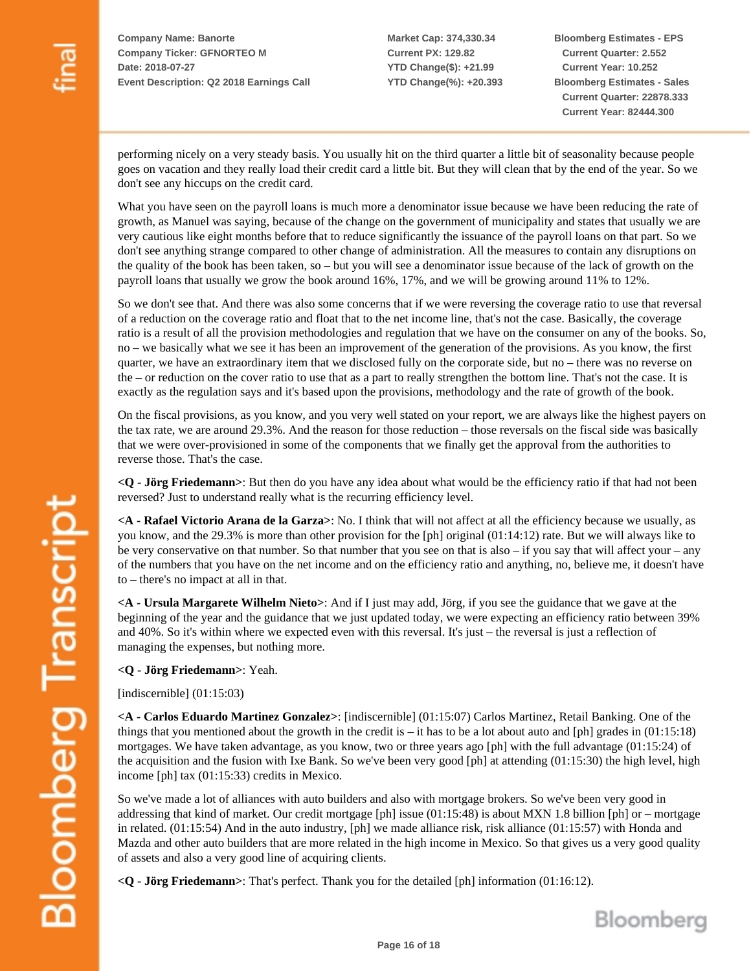**Market Cap: 374,330.34 Current PX: 129.82 YTD Change(\$): +21.99 YTD Change(%): +20.393** **Bloomberg Estimates - EPS Current Quarter: 2.552 Current Year: 10.252 Bloomberg Estimates - Sales Current Quarter: 22878.333 Current Year: 82444.300**

performing nicely on a very steady basis. You usually hit on the third quarter a little bit of seasonality because people goes on vacation and they really load their credit card a little bit. But they will clean that by the end of the year. So we don't see any hiccups on the credit card.

What you have seen on the payroll loans is much more a denominator issue because we have been reducing the rate of growth, as Manuel was saying, because of the change on the government of municipality and states that usually we are very cautious like eight months before that to reduce significantly the issuance of the payroll loans on that part. So we don't see anything strange compared to other change of administration. All the measures to contain any disruptions on the quality of the book has been taken, so – but you will see a denominator issue because of the lack of growth on the payroll loans that usually we grow the book around 16%, 17%, and we will be growing around 11% to 12%.

So we don't see that. And there was also some concerns that if we were reversing the coverage ratio to use that reversal of a reduction on the coverage ratio and float that to the net income line, that's not the case. Basically, the coverage ratio is a result of all the provision methodologies and regulation that we have on the consumer on any of the books. So, no – we basically what we see it has been an improvement of the generation of the provisions. As you know, the first quarter, we have an extraordinary item that we disclosed fully on the corporate side, but no – there was no reverse on the – or reduction on the cover ratio to use that as a part to really strengthen the bottom line. That's not the case. It is exactly as the regulation says and it's based upon the provisions, methodology and the rate of growth of the book.

On the fiscal provisions, as you know, and you very well stated on your report, we are always like the highest payers on the tax rate, we are around 29.3%. And the reason for those reduction – those reversals on the fiscal side was basically that we were over-provisioned in some of the components that we finally get the approval from the authorities to reverse those. That's the case.

**<Q - Jörg Friedemann>**: But then do you have any idea about what would be the efficiency ratio if that had not been reversed? Just to understand really what is the recurring efficiency level.

**<A - Rafael Victorio Arana de la Garza>**: No. I think that will not affect at all the efficiency because we usually, as you know, and the 29.3% is more than other provision for the [ph] original (01:14:12) rate. But we will always like to be very conservative on that number. So that number that you see on that is also – if you say that will affect your – any of the numbers that you have on the net income and on the efficiency ratio and anything, no, believe me, it doesn't have to – there's no impact at all in that.

**<A - Ursula Margarete Wilhelm Nieto>**: And if I just may add, Jörg, if you see the guidance that we gave at the beginning of the year and the guidance that we just updated today, we were expecting an efficiency ratio between 39% and 40%. So it's within where we expected even with this reversal. It's just – the reversal is just a reflection of managing the expenses, but nothing more.

**<Q - Jörg Friedemann>**: Yeah.

[indiscernible] (01:15:03)

**<A - Carlos Eduardo Martinez Gonzalez>**: [indiscernible] (01:15:07) Carlos Martinez, Retail Banking. One of the things that you mentioned about the growth in the credit is – it has to be a lot about auto and [ph] grades in  $(01:15:18)$ mortgages. We have taken advantage, as you know, two or three years ago [ph] with the full advantage (01:15:24) of the acquisition and the fusion with Ixe Bank. So we've been very good [ph] at attending (01:15:30) the high level, high income [ph] tax (01:15:33) credits in Mexico.

So we've made a lot of alliances with auto builders and also with mortgage brokers. So we've been very good in addressing that kind of market. Our credit mortgage [ph] issue (01:15:48) is about MXN 1.8 billion [ph] or – mortgage in related. (01:15:54) And in the auto industry, [ph] we made alliance risk, risk alliance (01:15:57) with Honda and Mazda and other auto builders that are more related in the high income in Mexico. So that gives us a very good quality of assets and also a very good line of acquiring clients.

**<Q - Jörg Friedemann>**: That's perfect. Thank you for the detailed [ph] information (01:16:12).

Bloomberg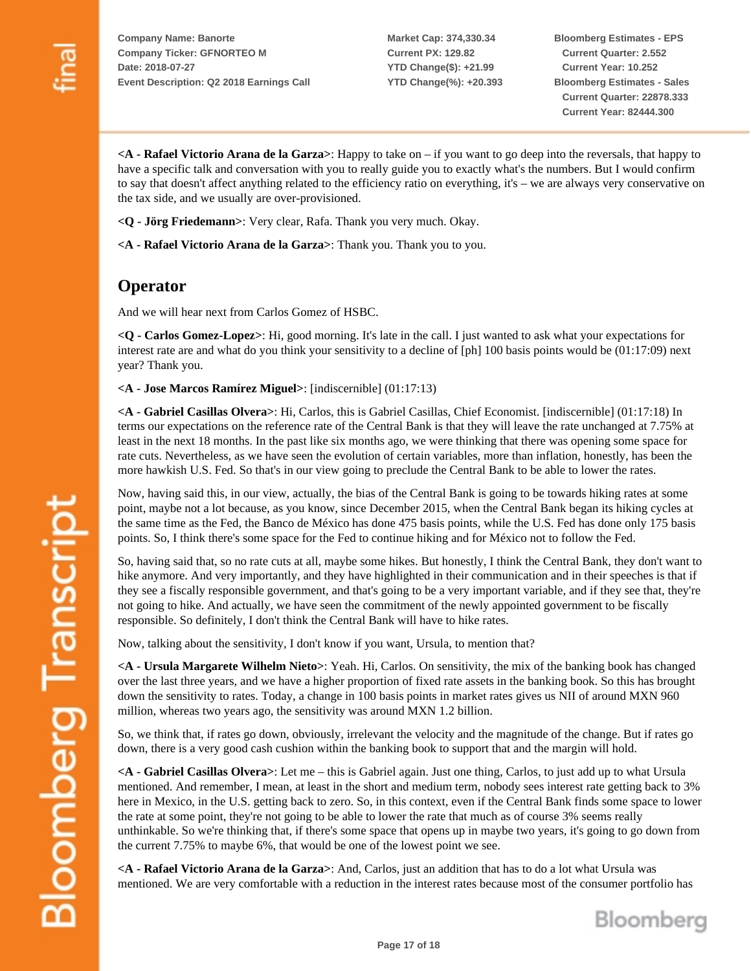**Market Cap: 374,330.34 Current PX: 129.82 YTD Change(\$): +21.99 YTD Change(%): +20.393** **Bloomberg Estimates - EPS Current Quarter: 2.552 Current Year: 10.252 Bloomberg Estimates - Sales Current Quarter: 22878.333 Current Year: 82444.300**

**<A - Rafael Victorio Arana de la Garza>**: Happy to take on – if you want to go deep into the reversals, that happy to have a specific talk and conversation with you to really guide you to exactly what's the numbers. But I would confirm to say that doesn't affect anything related to the efficiency ratio on everything, it's – we are always very conservative on the tax side, and we usually are over-provisioned.

**<Q - Jörg Friedemann>**: Very clear, Rafa. Thank you very much. Okay.

**<A - Rafael Victorio Arana de la Garza>**: Thank you. Thank you to you.

#### **Operator**

And we will hear next from Carlos Gomez of HSBC.

**<Q - Carlos Gomez-Lopez>**: Hi, good morning. It's late in the call. I just wanted to ask what your expectations for interest rate are and what do you think your sensitivity to a decline of [ph] 100 basis points would be (01:17:09) next year? Thank you.

**<A - Jose Marcos Ramírez Miguel>**: [indiscernible] (01:17:13)

**<A - Gabriel Casillas Olvera>**: Hi, Carlos, this is Gabriel Casillas, Chief Economist. [indiscernible] (01:17:18) In terms our expectations on the reference rate of the Central Bank is that they will leave the rate unchanged at 7.75% at least in the next 18 months. In the past like six months ago, we were thinking that there was opening some space for rate cuts. Nevertheless, as we have seen the evolution of certain variables, more than inflation, honestly, has been the more hawkish U.S. Fed. So that's in our view going to preclude the Central Bank to be able to lower the rates.

Now, having said this, in our view, actually, the bias of the Central Bank is going to be towards hiking rates at some point, maybe not a lot because, as you know, since December 2015, when the Central Bank began its hiking cycles at the same time as the Fed, the Banco de México has done 475 basis points, while the U.S. Fed has done only 175 basis points. So, I think there's some space for the Fed to continue hiking and for México not to follow the Fed.

So, having said that, so no rate cuts at all, maybe some hikes. But honestly, I think the Central Bank, they don't want to hike anymore. And very importantly, and they have highlighted in their communication and in their speeches is that if they see a fiscally responsible government, and that's going to be a very important variable, and if they see that, they're not going to hike. And actually, we have seen the commitment of the newly appointed government to be fiscally responsible. So definitely, I don't think the Central Bank will have to hike rates.

Now, talking about the sensitivity, I don't know if you want, Ursula, to mention that?

**<A - Ursula Margarete Wilhelm Nieto>**: Yeah. Hi, Carlos. On sensitivity, the mix of the banking book has changed over the last three years, and we have a higher proportion of fixed rate assets in the banking book. So this has brought down the sensitivity to rates. Today, a change in 100 basis points in market rates gives us NII of around MXN 960 million, whereas two years ago, the sensitivity was around MXN 1.2 billion.

So, we think that, if rates go down, obviously, irrelevant the velocity and the magnitude of the change. But if rates go down, there is a very good cash cushion within the banking book to support that and the margin will hold.

**<A - Gabriel Casillas Olvera>**: Let me – this is Gabriel again. Just one thing, Carlos, to just add up to what Ursula mentioned. And remember, I mean, at least in the short and medium term, nobody sees interest rate getting back to 3% here in Mexico, in the U.S. getting back to zero. So, in this context, even if the Central Bank finds some space to lower the rate at some point, they're not going to be able to lower the rate that much as of course 3% seems really unthinkable. So we're thinking that, if there's some space that opens up in maybe two years, it's going to go down from the current 7.75% to maybe 6%, that would be one of the lowest point we see.

**<A - Rafael Victorio Arana de la Garza>**: And, Carlos, just an addition that has to do a lot what Ursula was mentioned. We are very comfortable with a reduction in the interest rates because most of the consumer portfolio has